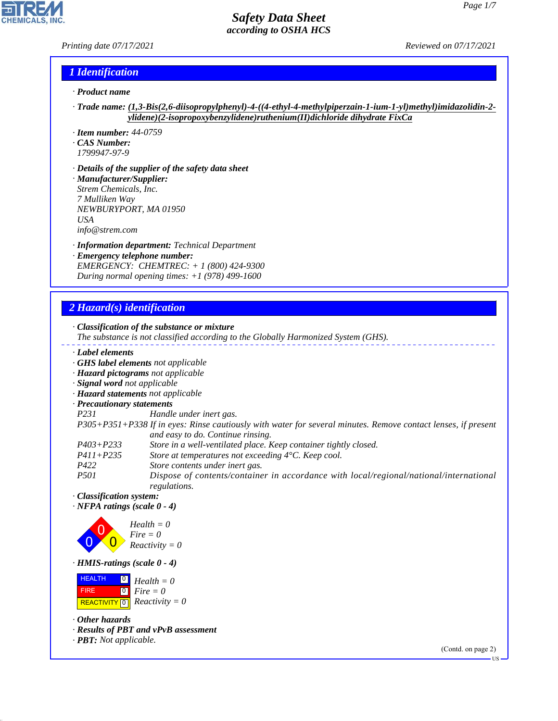*Printing date 07/17/2021 Reviewed on 07/17/2021*

## *1 Identification*

- *· Product name*
- *· Trade name: (1,3-Bis(2,6-diisopropylphenyl)-4-((4-ethyl-4-methylpiperzain-1-ium-1-yl)methyl)imidazolidin-2 ylidene)(2-isopropoxybenzylidene)ruthenium(II)dichloride dihydrate FixCa*
- *· Item number: 44-0759*
- *· CAS Number:*
- *1799947-97-9*
- *· Details of the supplier of the safety data sheet · Manufacturer/Supplier: Strem Chemicals, Inc. 7 Mulliken Way NEWBURYPORT, MA 01950 USA*
- *info@strem.com*
- *· Information department: Technical Department · Emergency telephone number: EMERGENCY: CHEMTREC: + 1 (800) 424-9300 During normal opening times: +1 (978) 499-1600*

# *2 Hazard(s) identification*

|                                    | $\cdot$ Classification of the substance or mixture<br>The substance is not classified according to the Globally Harmonized System (GHS).           |
|------------------------------------|----------------------------------------------------------------------------------------------------------------------------------------------------|
| Label elements                     |                                                                                                                                                    |
|                                    | · GHS label elements not applicable                                                                                                                |
|                                    | · Hazard pictograms not applicable                                                                                                                 |
| · Signal word not applicable       |                                                                                                                                                    |
|                                    | · Hazard statements not applicable                                                                                                                 |
| · Precautionary statements         |                                                                                                                                                    |
| P231                               | Handle under inert gas.                                                                                                                            |
|                                    | P305+P351+P338 If in eyes: Rinse cautiously with water for several minutes. Remove contact lenses, if present<br>and easy to do. Continue rinsing. |
| $P403 + P233$                      | Store in a well-ventilated place. Keep container tightly closed.                                                                                   |
| $P411 + P235$                      | Store at temperatures not exceeding $4^{\circ}$ C. Keep cool.                                                                                      |
| P422                               | Store contents under inert gas.                                                                                                                    |
| <i>P501</i>                        | Dispose of contents/container in accordance with local/regional/national/international<br>regulations.                                             |
| · Classification system:           |                                                                                                                                                    |
| $\cdot$ NFPA ratings (scale 0 - 4) |                                                                                                                                                    |
|                                    | $Health = 0$<br>$Fire = 0$<br>$Reactivity = 0$                                                                                                     |
| $\cdot$ HMIS-ratings (scale 0 - 4) |                                                                                                                                                    |
|                                    | $Health = 0$                                                                                                                                       |

 FIRE  $\boxed{\text{REACTIVITY} \boxed{0}}$  Reactivity = 0 0 *Fire = 0*

*· Other hazards*

44.1.1

*· Results of PBT and vPvB assessment*

*· PBT: Not applicable.*

(Contd. on page 2) US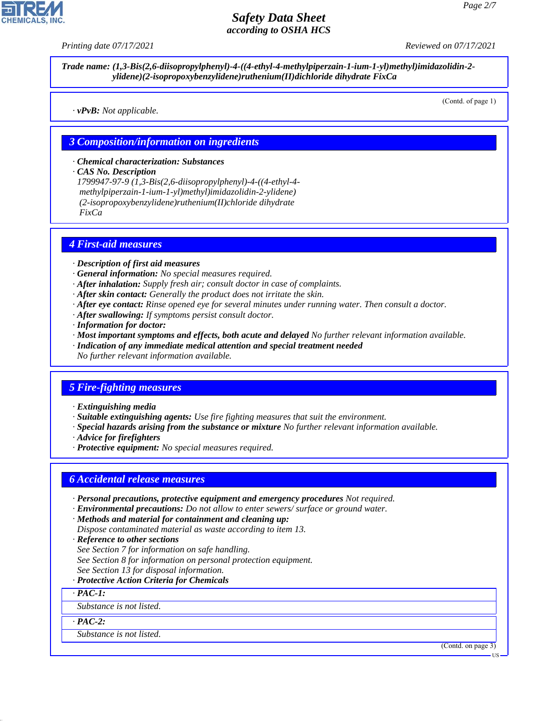*Printing date 07/17/2021 Reviewed on 07/17/2021*

*Trade name: (1,3-Bis(2,6-diisopropylphenyl)-4-((4-ethyl-4-methylpiperzain-1-ium-1-yl)methyl)imidazolidin-2 ylidene)(2-isopropoxybenzylidene)ruthenium(II)dichloride dihydrate FixCa*

*· vPvB: Not applicable.*

(Contd. of page 1)

#### *3 Composition/information on ingredients*

*· Chemical characterization: Substances*

*· CAS No. Description*

*1799947-97-9 (1,3-Bis(2,6-diisopropylphenyl)-4-((4-ethyl-4 methylpiperzain-1-ium-1-yl)methyl)imidazolidin-2-ylidene) (2-isopropoxybenzylidene)ruthenium(II)chloride dihydrate FixCa*

#### *4 First-aid measures*

*· Description of first aid measures*

- *· General information: No special measures required.*
- *· After inhalation: Supply fresh air; consult doctor in case of complaints.*
- *· After skin contact: Generally the product does not irritate the skin.*
- *· After eye contact: Rinse opened eye for several minutes under running water. Then consult a doctor.*
- *· After swallowing: If symptoms persist consult doctor.*
- *· Information for doctor:*
- *· Most important symptoms and effects, both acute and delayed No further relevant information available. · Indication of any immediate medical attention and special treatment needed No further relevant information available.*

#### *5 Fire-fighting measures*

*· Extinguishing media*

- *· Suitable extinguishing agents: Use fire fighting measures that suit the environment.*
- *· Special hazards arising from the substance or mixture No further relevant information available.*
- *· Advice for firefighters*
- *· Protective equipment: No special measures required.*

#### *6 Accidental release measures*

- *· Personal precautions, protective equipment and emergency procedures Not required.*
- *· Environmental precautions: Do not allow to enter sewers/ surface or ground water.*

*· Methods and material for containment and cleaning up:*

*Dispose contaminated material as waste according to item 13.*

- *· Reference to other sections*
- *See Section 7 for information on safe handling.*
- *See Section 8 for information on personal protection equipment.*
- *See Section 13 for disposal information.*
- *· Protective Action Criteria for Chemicals*

*· PAC-1:*

*Substance is not listed.*

*· PAC-2:*

44.1.1

*Substance is not listed.*

(Contd. on page 3)

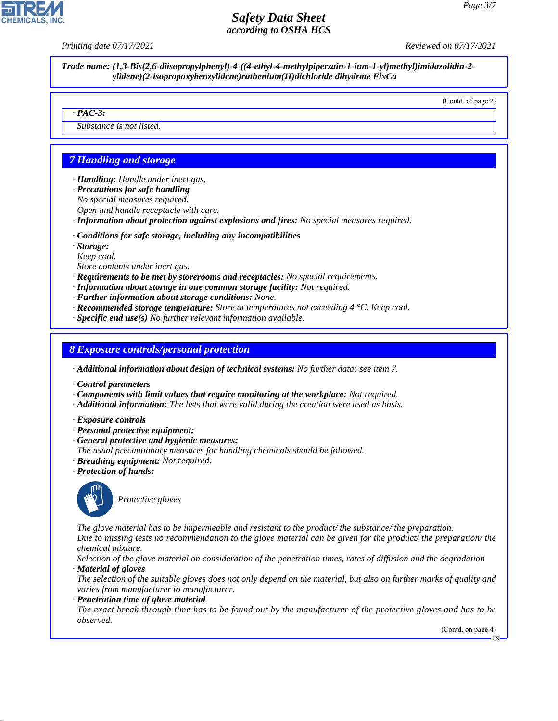*Printing date 07/17/2021 Reviewed on 07/17/2021*

*Trade name: (1,3-Bis(2,6-diisopropylphenyl)-4-((4-ethyl-4-methylpiperzain-1-ium-1-yl)methyl)imidazolidin-2 ylidene)(2-isopropoxybenzylidene)ruthenium(II)dichloride dihydrate FixCa*

(Contd. of page 2)

#### *· PAC-3:*

*Substance is not listed.*

# *7 Handling and storage*

*· Handling: Handle under inert gas.*

- *· Precautions for safe handling*
- *No special measures required.*
- *Open and handle receptacle with care.*
- *· Information about protection against explosions and fires: No special measures required.*

*· Conditions for safe storage, including any incompatibilities*

*· Storage:*

*Keep cool.*

- *Store contents under inert gas.*
- *· Requirements to be met by storerooms and receptacles: No special requirements.*
- *· Information about storage in one common storage facility: Not required.*
- *· Further information about storage conditions: None.*
- *· Recommended storage temperature: Store at temperatures not exceeding 4 °C. Keep cool.*
- *· Specific end use(s) No further relevant information available.*

#### *8 Exposure controls/personal protection*

*· Additional information about design of technical systems: No further data; see item 7.*

- *· Control parameters*
- *· Components with limit values that require monitoring at the workplace: Not required.*
- *· Additional information: The lists that were valid during the creation were used as basis.*
- *· Exposure controls*
- *· Personal protective equipment:*
- *· General protective and hygienic measures:*
- *The usual precautionary measures for handling chemicals should be followed.*
- *· Breathing equipment: Not required.*
- *· Protection of hands:*



44.1.1

\_S*Protective gloves*

*The glove material has to be impermeable and resistant to the product/ the substance/ the preparation. Due to missing tests no recommendation to the glove material can be given for the product/ the preparation/ the chemical mixture.*

*Selection of the glove material on consideration of the penetration times, rates of diffusion and the degradation · Material of gloves*

*The selection of the suitable gloves does not only depend on the material, but also on further marks of quality and varies from manufacturer to manufacturer.*

#### *· Penetration time of glove material*

*The exact break through time has to be found out by the manufacturer of the protective gloves and has to be observed.*

(Contd. on page 4)

US

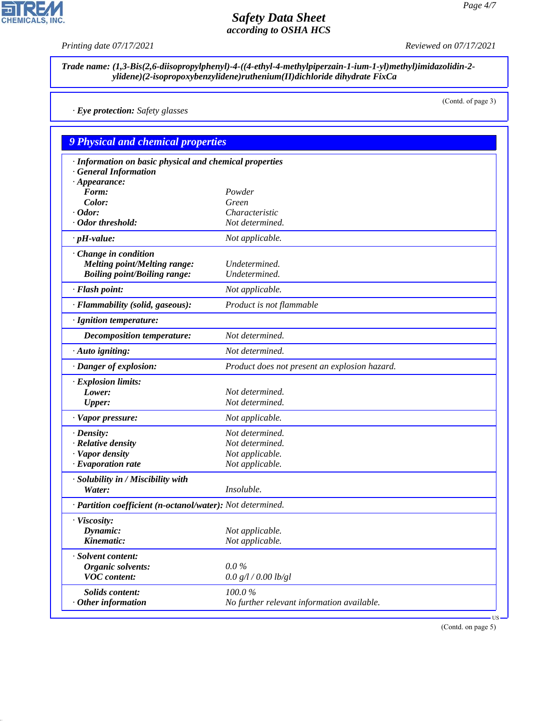*Printing date 07/17/2021 Reviewed on 07/17/2021*

(Contd. of page 3)

*Trade name: (1,3-Bis(2,6-diisopropylphenyl)-4-((4-ethyl-4-methylpiperzain-1-ium-1-yl)methyl)imidazolidin-2 ylidene)(2-isopropoxybenzylidene)ruthenium(II)dichloride dihydrate FixCa*

*· Eye protection: Safety glasses*

*9 Physical and chemical properties · Information on basic physical and chemical properties · General Information · Appearance: Form: Powder Color: Green · Odor: Characteristic · Odor threshold: Not determined. · pH-value: Not applicable. · Change in condition Melting point/Melting range: Undetermined. Boiling point/Boiling range: Undetermined. · Flash point: Not applicable. · Flammability (solid, gaseous): Product is not flammable · Ignition temperature: Decomposition temperature: Not determined. · Auto igniting: Not determined. · Danger of explosion: Product does not present an explosion hazard. · Explosion limits: Lower: Not determined. Upper: Not determined. · Vapor pressure: Not applicable. · Density: Not determined. · Relative density Not determined. · Vapor density Not applicable. · Evaporation rate Not applicable. · Solubility in / Miscibility with Water: Insoluble. · Partition coefficient (n-octanol/water): Not determined. · Viscosity: Dynamic: Not applicable. Kinematic: Not applicable. · Solvent content: Organic solvents: 0.0 % VOC content: 0.0 g/l / 0.00 lb/gl Solids content: 100.0 % Other information No further relevant information available.* US

(Contd. on page 5)



44.1.1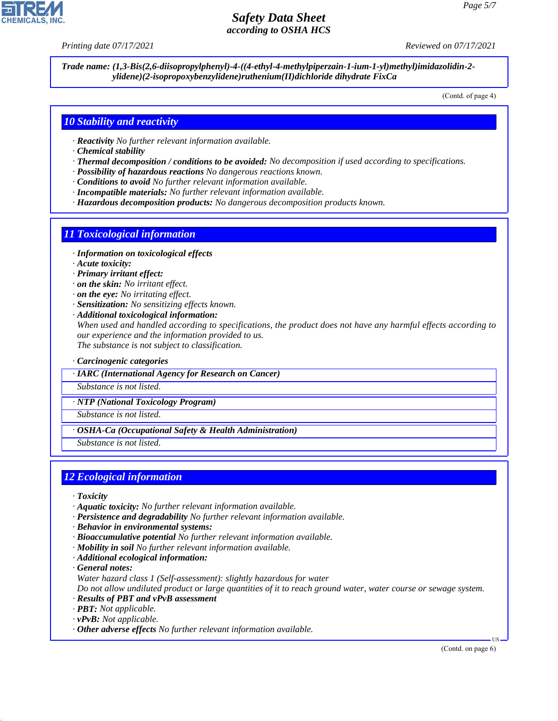*Printing date 07/17/2021 Reviewed on 07/17/2021*

*Trade name: (1,3-Bis(2,6-diisopropylphenyl)-4-((4-ethyl-4-methylpiperzain-1-ium-1-yl)methyl)imidazolidin-2 ylidene)(2-isopropoxybenzylidene)ruthenium(II)dichloride dihydrate FixCa*

(Contd. of page 4)

#### *10 Stability and reactivity*

- *· Reactivity No further relevant information available.*
- *· Chemical stability*
- *· Thermal decomposition / conditions to be avoided: No decomposition if used according to specifications.*
- *· Possibility of hazardous reactions No dangerous reactions known.*
- *· Conditions to avoid No further relevant information available.*
- *· Incompatible materials: No further relevant information available.*
- *· Hazardous decomposition products: No dangerous decomposition products known.*

#### *11 Toxicological information*

- *· Information on toxicological effects*
- *· Acute toxicity:*
- *· Primary irritant effect:*
- *· on the skin: No irritant effect.*
- *· on the eye: No irritating effect.*
- *· Sensitization: No sensitizing effects known.*
- *· Additional toxicological information:*

*When used and handled according to specifications, the product does not have any harmful effects according to our experience and the information provided to us. The substance is not subject to classification.*

#### *· Carcinogenic categories*

*· IARC (International Agency for Research on Cancer)*

*Substance is not listed.*

*· NTP (National Toxicology Program)*

*Substance is not listed.*

*· OSHA-Ca (Occupational Safety & Health Administration)*

*Substance is not listed.*

## *12 Ecological information*

- *· Toxicity*
- *· Aquatic toxicity: No further relevant information available.*
- *· Persistence and degradability No further relevant information available.*
- *· Behavior in environmental systems:*
- *· Bioaccumulative potential No further relevant information available.*
- *· Mobility in soil No further relevant information available.*
- *· Additional ecological information:*
- *· General notes:*

44.1.1

*Water hazard class 1 (Self-assessment): slightly hazardous for water*

*Do not allow undiluted product or large quantities of it to reach ground water, water course or sewage system. · Results of PBT and vPvB assessment*

- *· PBT: Not applicable.*
- *· vPvB: Not applicable.*
- *· Other adverse effects No further relevant information available.*

(Contd. on page 6)

US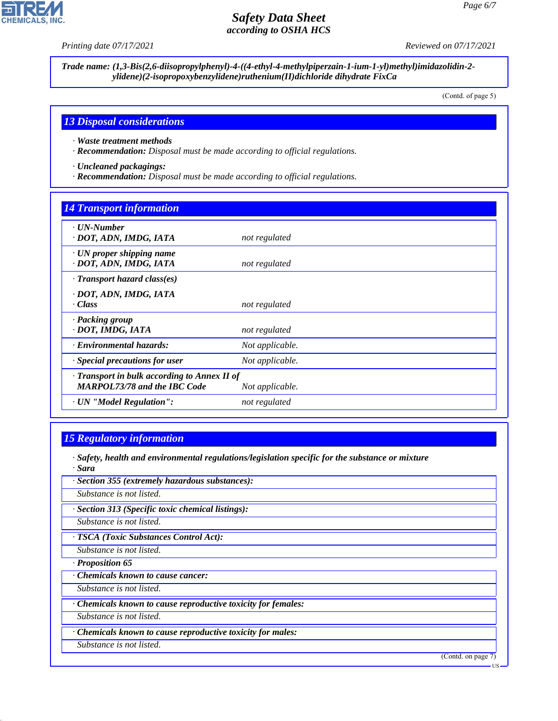**CHEMICALS, INC.** 

*Printing date 07/17/2021 Reviewed on 07/17/2021*

*Trade name: (1,3-Bis(2,6-diisopropylphenyl)-4-((4-ethyl-4-methylpiperzain-1-ium-1-yl)methyl)imidazolidin-2 ylidene)(2-isopropoxybenzylidene)ruthenium(II)dichloride dihydrate FixCa*

(Contd. of page 5)

#### *13 Disposal considerations*

*· Waste treatment methods*

*· Recommendation: Disposal must be made according to official regulations.*

*· Uncleaned packagings:*

*· Recommendation: Disposal must be made according to official regulations.*

# *14 Transport information*

| $\cdots$                                                                                  |                 |
|-------------------------------------------------------------------------------------------|-----------------|
| $\cdot$ UN-Number<br>· DOT, ADN, IMDG, IATA                                               | not regulated   |
| $\cdot$ UN proper shipping name<br>· DOT, ADN, IMDG, IATA                                 | not regulated   |
| $\cdot$ Transport hazard class(es)                                                        |                 |
| · DOT, ADN, IMDG, IATA<br>· Class                                                         | not regulated   |
| · Packing group<br>· DOT, IMDG, IATA                                                      | not regulated   |
| · Environmental hazards:                                                                  | Not applicable. |
| · Special precautions for user                                                            | Not applicable. |
| $\cdot$ Transport in bulk according to Annex II of<br><b>MARPOL73/78 and the IBC Code</b> | Not applicable. |
| · UN "Model Regulation":                                                                  | not regulated   |
|                                                                                           |                 |

## *15 Regulatory information*

- *· Safety, health and environmental regulations/legislation specific for the substance or mixture · Sara*
- *· Section 355 (extremely hazardous substances):*

*Substance is not listed.*

*· Section 313 (Specific toxic chemical listings):*

*Substance is not listed.*

*· TSCA (Toxic Substances Control Act):*

*Substance is not listed.*

*· Proposition 65*

*· Chemicals known to cause cancer:*

*Substance is not listed.*

*· Chemicals known to cause reproductive toxicity for females:*

*Substance is not listed.*

*· Chemicals known to cause reproductive toxicity for males:*

*Substance is not listed.*

44.1.1

(Contd. on page 7)

US